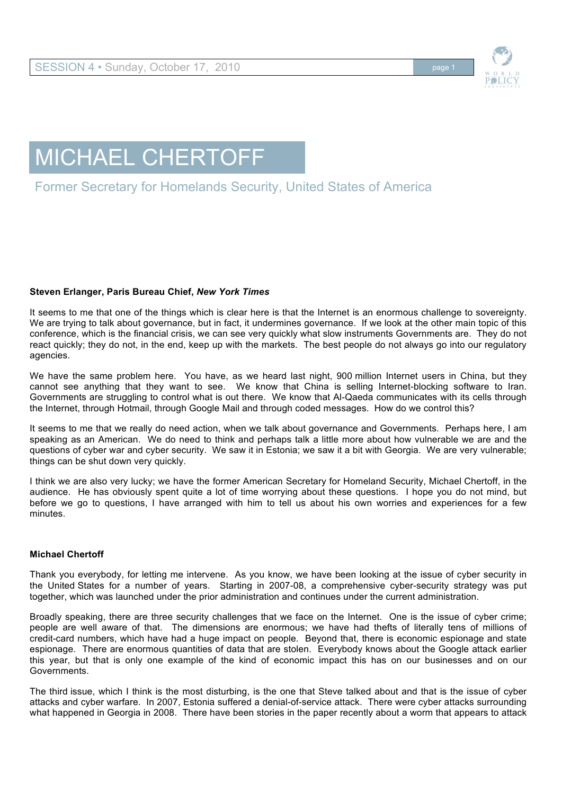

## MICHAEL CHERTOFF

## Former Secretary for Homelands Security, United States of America

## **Steven Erlanger, Paris Bureau Chief,** *New York Times*

It seems to me that one of the things which is clear here is that the Internet is an enormous challenge to sovereignty. We are trying to talk about governance, but in fact, it undermines governance. If we look at the other main topic of this conference, which is the financial crisis, we can see very quickly what slow instruments Governments are. They do not react quickly; they do not, in the end, keep up with the markets. The best people do not always go into our regulatory agencies.

We have the same problem here. You have, as we heard last night, 900 million Internet users in China, but they cannot see anything that they want to see. We know that China is selling Internet-blocking software to Iran. Governments are struggling to control what is out there. We know that Al-Qaeda communicates with its cells through the Internet, through Hotmail, through Google Mail and through coded messages. How do we control this?

It seems to me that we really do need action, when we talk about governance and Governments. Perhaps here, I am speaking as an American. We do need to think and perhaps talk a little more about how vulnerable we are and the questions of cyber war and cyber security. We saw it in Estonia; we saw it a bit with Georgia. We are very vulnerable; things can be shut down very quickly.

I think we are also very lucky; we have the former American Secretary for Homeland Security, Michael Chertoff, in the audience. He has obviously spent quite a lot of time worrying about these questions. I hope you do not mind, but before we go to questions, I have arranged with him to tell us about his own worries and experiences for a few minutes.

## **Michael Chertoff**

Thank you everybody, for letting me intervene. As you know, we have been looking at the issue of cyber security in the United States for a number of years. Starting in 2007-08, a comprehensive cyber-security strategy was put together, which was launched under the prior administration and continues under the current administration.

Broadly speaking, there are three security challenges that we face on the Internet. One is the issue of cyber crime; people are well aware of that. The dimensions are enormous; we have had thefts of literally tens of millions of credit-card numbers, which have had a huge impact on people. Beyond that, there is economic espionage and state espionage. There are enormous quantities of data that are stolen. Everybody knows about the Google attack earlier this year, but that is only one example of the kind of economic impact this has on our businesses and on our Governments.

The third issue, which I think is the most disturbing, is the one that Steve talked about and that is the issue of cyber attacks and cyber warfare. In 2007, Estonia suffered a denial-of-service attack. There were cyber attacks surrounding what happened in Georgia in 2008. There have been stories in the paper recently about a worm that appears to attack